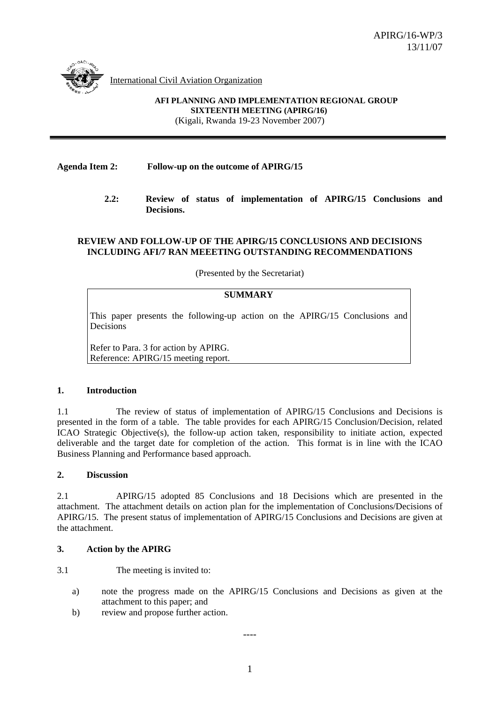

International Civil Aviation Organization

**AFI PLANNING AND IMPLEMENTATION REGIONAL GROUP SIXTEENTH MEETING (APIRG/16)**  (Kigali, Rwanda 19-23 November 2007)

### **Agenda Item 2: Follow-up on the outcome of APIRG/15**

 **2.2: Review of status of implementation of APIRG/15 Conclusions and Decisions.** 

#### **REVIEW AND FOLLOW-UP OF THE APIRG/15 CONCLUSIONS AND DECISIONS INCLUDING AFI/7 RAN MEEETING OUTSTANDING RECOMMENDATIONS**

(Presented by the Secretariat)

#### **SUMMARY**

This paper presents the following-up action on the APIRG/15 Conclusions and Decisions

Refer to Para. 3 for action by APIRG. Reference: APIRG/15 meeting report.

#### **1. Introduction**

1.1 The review of status of implementation of APIRG/15 Conclusions and Decisions is presented in the form of a table. The table provides for each APIRG/15 Conclusion/Decision, related ICAO Strategic Objective(s), the follow-up action taken, responsibility to initiate action, expected deliverable and the target date for completion of the action. This format is in line with the ICAO Business Planning and Performance based approach.

#### **2. Discussion**

2.1 APIRG/15 adopted 85 Conclusions and 18 Decisions which are presented in the attachment. The attachment details on action plan for the implementation of Conclusions/Decisions of APIRG/15. The present status of implementation of APIRG/15 Conclusions and Decisions are given at the attachment.

#### **3. Action by the APIRG**

3.1 The meeting is invited to:

- a) note the progress made on the APIRG/15 Conclusions and Decisions as given at the attachment to this paper; and
- b) review and propose further action.

----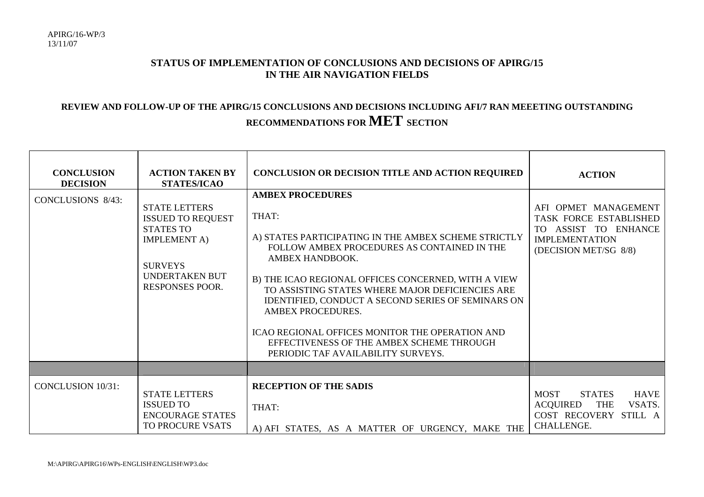# **STATUS OF IMPLEMENTATION OF CONCLUSIONS AND DECISIONS OF APIRG/15 IN THE AIR NAVIGATION FIELDS**

# **REVIEW AND FOLLOW-UP OF THE APIRG/15 CONCLUSIONS AND DECISIONS INCLUDING AFI/7 RAN MEEETING OUTSTANDING RECOMMENDATIONS FOR MET SECTION**

| <b>CONCLUSION</b><br><b>DECISION</b> | <b>ACTION TAKEN BY</b><br><b>STATES/ICAO</b>                                                                                                              | <b>CONCLUSION OR DECISION TITLE AND ACTION REQUIRED</b>                                                                                                                                                                                                                                                                                                                                                                                                                                | <b>ACTION</b>                                                                                                                        |
|--------------------------------------|-----------------------------------------------------------------------------------------------------------------------------------------------------------|----------------------------------------------------------------------------------------------------------------------------------------------------------------------------------------------------------------------------------------------------------------------------------------------------------------------------------------------------------------------------------------------------------------------------------------------------------------------------------------|--------------------------------------------------------------------------------------------------------------------------------------|
| CONCLUSIONS 8/43:                    | <b>STATE LETTERS</b><br><b>ISSUED TO REQUEST</b><br><b>STATES TO</b><br><b>IMPLEMENT A)</b><br><b>SURVEYS</b><br>UNDERTAKEN BUT<br><b>RESPONSES POOR.</b> | <b>AMBEX PROCEDURES</b><br>THAT:<br>A) STATES PARTICIPATING IN THE AMBEX SCHEME STRICTLY<br>FOLLOW AMBEX PROCEDURES AS CONTAINED IN THE<br>AMBEX HANDBOOK.<br>B) THE ICAO REGIONAL OFFICES CONCERNED, WITH A VIEW<br>TO ASSISTING STATES WHERE MAJOR DEFICIENCIES ARE<br>IDENTIFIED, CONDUCT A SECOND SERIES OF SEMINARS ON<br>AMBEX PROCEDURES.<br>ICAO REGIONAL OFFICES MONITOR THE OPERATION AND<br>EFFECTIVENESS OF THE AMBEX SCHEME THROUGH<br>PERIODIC TAF AVAILABILITY SURVEYS. | AFI OPMET MANAGEMENT<br>TASK FORCE ESTABLISHED<br>TO ASSIST TO ENHANCE<br><b>IMPLEMENTATION</b><br>(DECISION MET/SG 8/8)             |
|                                      |                                                                                                                                                           |                                                                                                                                                                                                                                                                                                                                                                                                                                                                                        |                                                                                                                                      |
| <b>CONCLUSION 10/31:</b>             | <b>STATE LETTERS</b><br><b>ISSUED TO</b><br><b>ENCOURAGE STATES</b><br>TO PROCURE VSATS                                                                   | <b>RECEPTION OF THE SADIS</b><br>THAT:<br>A) AFI STATES, AS A MATTER OF URGENCY, MAKE THE                                                                                                                                                                                                                                                                                                                                                                                              | <b>MOST</b><br><b>STATES</b><br><b>HAVE</b><br><b>ACQUIRED</b><br><b>THE</b><br>VSATS.<br>COST RECOVERY STILL A<br><b>CHALLENGE.</b> |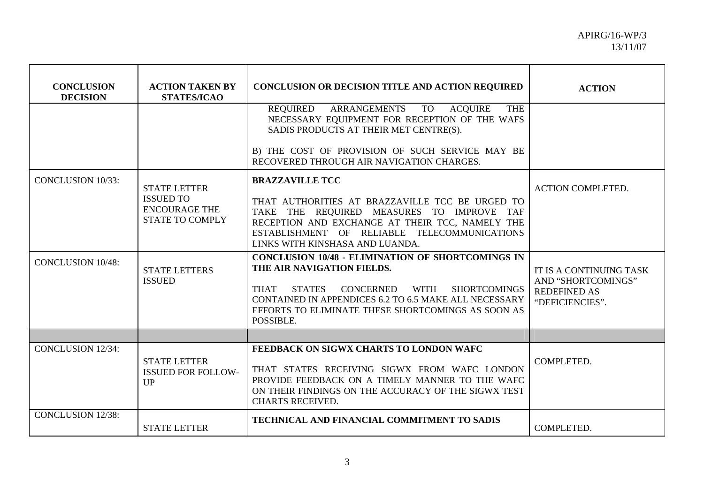| <b>CONCLUSION</b><br><b>DECISION</b> | <b>ACTION TAKEN BY</b><br><b>STATES/ICAO</b>                                              | CONCLUSION OR DECISION TITLE AND ACTION REQUIRED                                                                                                                                                                                                                                  | <b>ACTION</b>                                                                           |
|--------------------------------------|-------------------------------------------------------------------------------------------|-----------------------------------------------------------------------------------------------------------------------------------------------------------------------------------------------------------------------------------------------------------------------------------|-----------------------------------------------------------------------------------------|
|                                      |                                                                                           | REQUIRED ARRANGEMENTS TO<br><b>ACQUIRE</b><br><b>THE</b><br>NECESSARY EQUIPMENT FOR RECEPTION OF THE WAFS<br>SADIS PRODUCTS AT THEIR MET CENTRE(S).                                                                                                                               |                                                                                         |
|                                      |                                                                                           | B) THE COST OF PROVISION OF SUCH SERVICE MAY BE<br>RECOVERED THROUGH AIR NAVIGATION CHARGES.                                                                                                                                                                                      |                                                                                         |
| <b>CONCLUSION 10/33:</b>             | <b>STATE LETTER</b><br><b>ISSUED TO</b><br><b>ENCOURAGE THE</b><br><b>STATE TO COMPLY</b> | <b>BRAZZAVILLE TCC</b><br>THAT AUTHORITIES AT BRAZZAVILLE TCC BE URGED TO<br>TAKE THE REQUIRED MEASURES TO IMPROVE TAF<br>RECEPTION AND EXCHANGE AT THEIR TCC, NAMELY THE<br>ESTABLISHMENT OF RELIABLE TELECOMMUNICATIONS<br>LINKS WITH KINSHASA AND LUANDA.                      | <b>ACTION COMPLETED.</b>                                                                |
| <b>CONCLUSION 10/48:</b>             | <b>STATE LETTERS</b><br><b>ISSUED</b>                                                     | <b>CONCLUSION 10/48 - ELIMINATION OF SHORTCOMINGS IN</b><br>THE AIR NAVIGATION FIELDS.<br>CONCERNED WITH SHORTCOMINGS<br><b>THAT</b><br><b>STATES</b><br>CONTAINED IN APPENDICES 6.2 TO 6.5 MAKE ALL NECESSARY<br>EFFORTS TO ELIMINATE THESE SHORTCOMINGS AS SOON AS<br>POSSIBLE. | IT IS A CONTINUING TASK<br>AND "SHORTCOMINGS"<br><b>REDEFINED AS</b><br>"DEFICIENCIES". |
|                                      |                                                                                           |                                                                                                                                                                                                                                                                                   |                                                                                         |
| <b>CONCLUSION 12/34:</b>             | <b>STATE LETTER</b><br><b>ISSUED FOR FOLLOW-</b><br>UP                                    | FEEDBACK ON SIGWX CHARTS TO LONDON WAFC<br>THAT STATES RECEIVING SIGWX FROM WAFC LONDON<br>PROVIDE FEEDBACK ON A TIMELY MANNER TO THE WAFC<br>ON THEIR FINDINGS ON THE ACCURACY OF THE SIGWX TEST<br><b>CHARTS RECEIVED.</b>                                                      | COMPLETED.                                                                              |
| <b>CONCLUSION 12/38:</b>             | <b>STATE LETTER</b>                                                                       | TECHNICAL AND FINANCIAL COMMITMENT TO SADIS                                                                                                                                                                                                                                       | COMPLETED.                                                                              |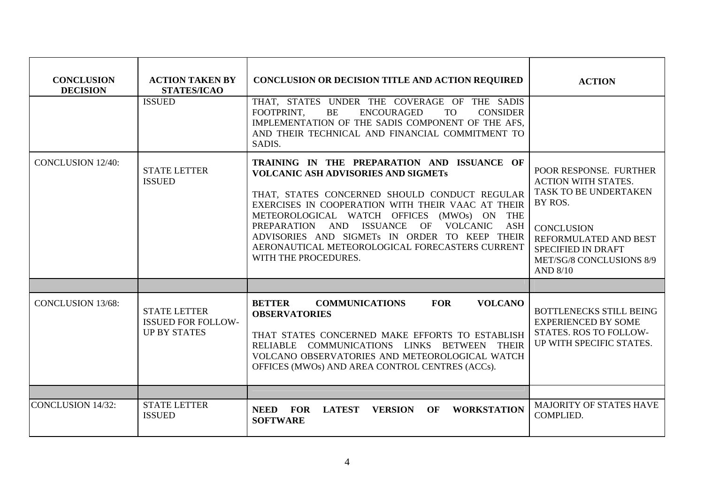| <b>CONCLUSION</b><br><b>DECISION</b> | <b>ACTION TAKEN BY</b><br><b>STATES/ICAO</b>                            | <b>CONCLUSION OR DECISION TITLE AND ACTION REQUIRED</b>                                                                                                                                                                                                                                                                                                                                                                                    | <b>ACTION</b>                                                                                                                                                                                                      |
|--------------------------------------|-------------------------------------------------------------------------|--------------------------------------------------------------------------------------------------------------------------------------------------------------------------------------------------------------------------------------------------------------------------------------------------------------------------------------------------------------------------------------------------------------------------------------------|--------------------------------------------------------------------------------------------------------------------------------------------------------------------------------------------------------------------|
|                                      | <b>ISSUED</b>                                                           | THAT, STATES UNDER THE COVERAGE OF THE SADIS<br>FOOTPRINT.<br><b>BE</b><br><b>ENCOURAGED</b><br><b>TO</b><br><b>CONSIDER</b><br>IMPLEMENTATION OF THE SADIS COMPONENT OF THE AFS,<br>AND THEIR TECHNICAL AND FINANCIAL COMMITMENT TO<br>SADIS.                                                                                                                                                                                             |                                                                                                                                                                                                                    |
| <b>CONCLUSION 12/40:</b>             | <b>STATE LETTER</b><br><b>ISSUED</b>                                    | TRAINING IN THE PREPARATION AND ISSUANCE OF<br><b>VOLCANIC ASH ADVISORIES AND SIGMETS</b><br>THAT, STATES CONCERNED SHOULD CONDUCT REGULAR<br>EXERCISES IN COOPERATION WITH THEIR VAAC AT THEIR<br>METEOROLOGICAL WATCH OFFICES<br>$(MWOs)$ ON<br><b>THE</b><br>PREPARATION AND ISSUANCE<br>OF VOLCANIC<br>ASH<br>ADVISORIES AND SIGMETs IN ORDER TO KEEP THEIR<br>AERONAUTICAL METEOROLOGICAL FORECASTERS CURRENT<br>WITH THE PROCEDURES. | POOR RESPONSE. FURTHER<br><b>ACTION WITH STATES.</b><br>TASK TO BE UNDERTAKEN<br>BY ROS.<br><b>CONCLUSION</b><br>REFORMULATED AND BEST<br><b>SPECIFIED IN DRAFT</b><br>MET/SG/8 CONCLUSIONS 8/9<br><b>AND 8/10</b> |
|                                      |                                                                         |                                                                                                                                                                                                                                                                                                                                                                                                                                            |                                                                                                                                                                                                                    |
| <b>CONCLUSION 13/68:</b>             | <b>STATE LETTER</b><br><b>ISSUED FOR FOLLOW-</b><br><b>UP BY STATES</b> | <b>BETTER</b><br><b>FOR</b><br><b>COMMUNICATIONS</b><br><b>VOLCANO</b><br><b>OBSERVATORIES</b><br>THAT STATES CONCERNED MAKE EFFORTS TO ESTABLISH<br>RELIABLE COMMUNICATIONS LINKS BETWEEN THEIR<br>VOLCANO OBSERVATORIES AND METEOROLOGICAL WATCH<br>OFFICES (MWOs) AND AREA CONTROL CENTRES (ACCs).                                                                                                                                      | <b>BOTTLENECKS STILL BEING</b><br><b>EXPERIENCED BY SOME</b><br>STATES. ROS TO FOLLOW-<br>UP WITH SPECIFIC STATES.                                                                                                 |
|                                      |                                                                         |                                                                                                                                                                                                                                                                                                                                                                                                                                            |                                                                                                                                                                                                                    |
| <b>CONCLUSION 14/32:</b>             | <b>STATE LETTER</b><br><b>ISSUED</b>                                    | <b>NEED</b><br><b>FOR</b><br><b>LATEST</b><br><b>VERSION</b><br>OF<br><b>WORKSTATION</b><br><b>SOFTWARE</b>                                                                                                                                                                                                                                                                                                                                | <b>MAJORITY OF STATES HAVE</b><br>COMPLIED.                                                                                                                                                                        |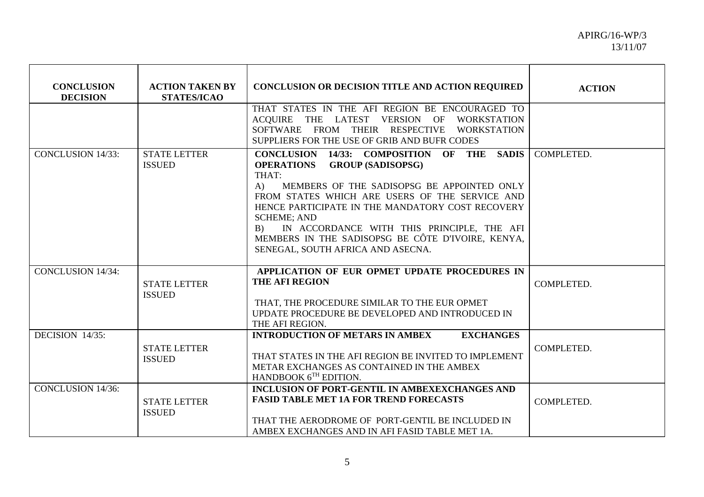| <b>CONCLUSION</b><br><b>DECISION</b> | <b>ACTION TAKEN BY</b><br><b>STATES/ICAO</b> | <b>CONCLUSION OR DECISION TITLE AND ACTION REQUIRED</b>                                                                                                                                                                                                                                                                                                                                                                                             | <b>ACTION</b> |
|--------------------------------------|----------------------------------------------|-----------------------------------------------------------------------------------------------------------------------------------------------------------------------------------------------------------------------------------------------------------------------------------------------------------------------------------------------------------------------------------------------------------------------------------------------------|---------------|
|                                      |                                              | THAT STATES IN THE AFI REGION BE ENCOURAGED TO<br>ACQUIRE THE LATEST VERSION OF<br>WORKSTATION<br>SOFTWARE FROM THEIR RESPECTIVE<br><b>WORKSTATION</b><br>SUPPLIERS FOR THE USE OF GRIB AND BUFR CODES                                                                                                                                                                                                                                              |               |
| <b>CONCLUSION 14/33:</b>             | <b>STATE LETTER</b><br><b>ISSUED</b>         | <b>CONCLUSION 14/33: COMPOSITION OF THE</b><br><b>SADIS</b><br><b>GROUP (SADISOPSG)</b><br><b>OPERATIONS</b><br>THAT:<br>MEMBERS OF THE SADISOPSG BE APPOINTED ONLY<br>A)<br>FROM STATES WHICH ARE USERS OF THE SERVICE AND<br>HENCE PARTICIPATE IN THE MANDATORY COST RECOVERY<br><b>SCHEME: AND</b><br>IN ACCORDANCE WITH THIS PRINCIPLE, THE AFI<br>B)<br>MEMBERS IN THE SADISOPSG BE CÔTE D'IVOIRE, KENYA,<br>SENEGAL, SOUTH AFRICA AND ASECNA. | COMPLETED.    |
| <b>CONCLUSION 14/34:</b>             | <b>STATE LETTER</b><br><b>ISSUED</b>         | APPLICATION OF EUR OPMET UPDATE PROCEDURES IN<br><b>THE AFI REGION</b><br>THAT, THE PROCEDURE SIMILAR TO THE EUR OPMET<br>UPDATE PROCEDURE BE DEVELOPED AND INTRODUCED IN<br>THE AFI REGION.                                                                                                                                                                                                                                                        | COMPLETED.    |
| DECISION 14/35:                      | <b>STATE LETTER</b><br><b>ISSUED</b>         | <b>EXCHANGES</b><br><b>INTRODUCTION OF METARS IN AMBEX</b><br>THAT STATES IN THE AFI REGION BE INVITED TO IMPLEMENT<br>METAR EXCHANGES AS CONTAINED IN THE AMBEX<br>HANDBOOK $6^{TH}$ EDITION.                                                                                                                                                                                                                                                      | COMPLETED.    |
| <b>CONCLUSION 14/36:</b>             | <b>STATE LETTER</b><br><b>ISSUED</b>         | <b>INCLUSION OF PORT-GENTIL IN AMBEXEXCHANGES AND</b><br><b>FASID TABLE MET 1A FOR TREND FORECASTS</b><br>THAT THE AERODROME OF PORT-GENTIL BE INCLUDED IN<br>AMBEX EXCHANGES AND IN AFI FASID TABLE MET 1A.                                                                                                                                                                                                                                        | COMPLETED.    |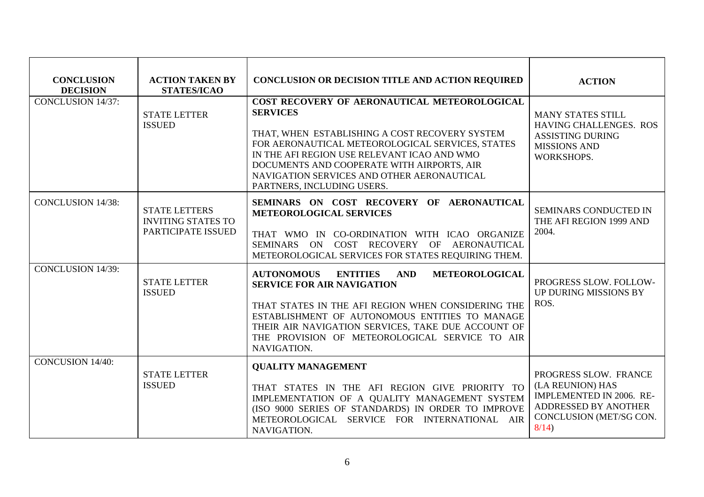| <b>CONCLUSION</b><br><b>DECISION</b> | <b>ACTION TAKEN BY</b><br><b>STATES/ICAO</b>                            | <b>CONCLUSION OR DECISION TITLE AND ACTION REQUIRED</b>                                                                                                                                                                                                                                                                                        | <b>ACTION</b>                                                                                                                    |
|--------------------------------------|-------------------------------------------------------------------------|------------------------------------------------------------------------------------------------------------------------------------------------------------------------------------------------------------------------------------------------------------------------------------------------------------------------------------------------|----------------------------------------------------------------------------------------------------------------------------------|
| <b>CONCLUSION 14/37:</b>             | <b>STATE LETTER</b><br><b>ISSUED</b>                                    | COST RECOVERY OF AERONAUTICAL METEOROLOGICAL<br><b>SERVICES</b><br>THAT, WHEN ESTABLISHING A COST RECOVERY SYSTEM<br>FOR AERONAUTICAL METEOROLOGICAL SERVICES, STATES<br>IN THE AFI REGION USE RELEVANT ICAO AND WMO<br>DOCUMENTS AND COOPERATE WITH AIRPORTS, AIR<br>NAVIGATION SERVICES AND OTHER AERONAUTICAL<br>PARTNERS, INCLUDING USERS. | <b>MANY STATES STILL</b><br><b>HAVING CHALLENGES. ROS</b><br><b>ASSISTING DURING</b><br><b>MISSIONS AND</b><br>WORKSHOPS.        |
| <b>CONCLUSION 14/38:</b>             | <b>STATE LETTERS</b><br><b>INVITING STATES TO</b><br>PARTICIPATE ISSUED | SEMINARS ON COST RECOVERY OF AERONAUTICAL<br><b>METEOROLOGICAL SERVICES</b><br>THAT WMO IN CO-ORDINATION WITH ICAO ORGANIZE<br>SEMINARS ON COST RECOVERY OF AERONAUTICAL<br>METEOROLOGICAL SERVICES FOR STATES REQUIRING THEM.                                                                                                                 | SEMINARS CONDUCTED IN<br>THE AFI REGION 1999 AND<br>2004.                                                                        |
| <b>CONCLUSION 14/39:</b>             | <b>STATE LETTER</b><br><b>ISSUED</b>                                    | <b>AUTONOMOUS</b><br><b>ENTITIES</b><br><b>AND</b><br>METEOROLOGICAL<br><b>SERVICE FOR AIR NAVIGATION</b><br>THAT STATES IN THE AFI REGION WHEN CONSIDERING THE<br>ESTABLISHMENT OF AUTONOMOUS ENTITIES TO MANAGE<br>THEIR AIR NAVIGATION SERVICES, TAKE DUE ACCOUNT OF<br>THE PROVISION OF METEOROLOGICAL SERVICE TO AIR<br>NAVIGATION.       | PROGRESS SLOW. FOLLOW-<br>UP DURING MISSIONS BY<br>ROS.                                                                          |
| <b>CONCUSION 14/40:</b>              | <b>STATE LETTER</b><br><b>ISSUED</b>                                    | <b>QUALITY MANAGEMENT</b><br>THAT STATES IN THE AFI REGION GIVE PRIORITY TO<br>IMPLEMENTATION OF A QUALITY MANAGEMENT SYSTEM<br>(ISO 9000 SERIES OF STANDARDS) IN ORDER TO IMPROVE<br>METEOROLOGICAL SERVICE FOR INTERNATIONAL AIR<br>NAVIGATION.                                                                                              | PROGRESS SLOW. FRANCE<br>(LA REUNION) HAS<br>IMPLEMENTED IN 2006. RE-<br>ADDRESSED BY ANOTHER<br>CONCLUSION (MET/SG CON.<br>8/14 |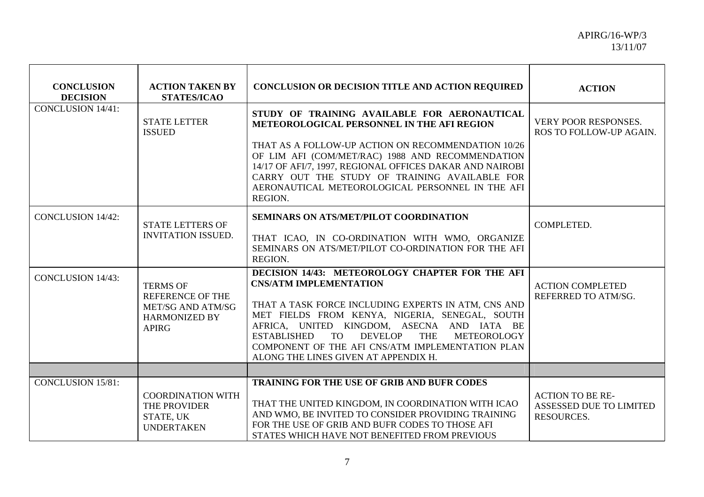| <b>CONCLUSION</b><br><b>DECISION</b> | <b>ACTION TAKEN BY</b><br><b>STATES/ICAO</b>                                                                   | <b>CONCLUSION OR DECISION TITLE AND ACTION REQUIRED</b>                                                                                                                                                                                                                                                                                                                                                                      | <b>ACTION</b>                                                           |
|--------------------------------------|----------------------------------------------------------------------------------------------------------------|------------------------------------------------------------------------------------------------------------------------------------------------------------------------------------------------------------------------------------------------------------------------------------------------------------------------------------------------------------------------------------------------------------------------------|-------------------------------------------------------------------------|
| <b>CONCLUSION 14/41:</b>             | <b>STATE LETTER</b><br><b>ISSUED</b>                                                                           | STUDY OF TRAINING AVAILABLE FOR AERONAUTICAL<br>METEOROLOGICAL PERSONNEL IN THE AFI REGION                                                                                                                                                                                                                                                                                                                                   | VERY POOR RESPONSES.<br>ROS TO FOLLOW-UP AGAIN.                         |
|                                      |                                                                                                                | THAT AS A FOLLOW-UP ACTION ON RECOMMENDATION 10/26<br>OF LIM AFI (COM/MET/RAC) 1988 AND RECOMMENDATION<br>14/17 OF AFI/7, 1997, REGIONAL OFFICES DAKAR AND NAIROBI<br>CARRY OUT THE STUDY OF TRAINING AVAILABLE FOR<br>AERONAUTICAL METEOROLOGICAL PERSONNEL IN THE AFI<br>REGION.                                                                                                                                           |                                                                         |
| <b>CONCLUSION 14/42:</b>             | <b>STATE LETTERS OF</b><br><b>INVITATION ISSUED.</b>                                                           | <b>SEMINARS ON ATS/MET/PILOT COORDINATION</b><br>THAT ICAO, IN CO-ORDINATION WITH WMO, ORGANIZE<br>SEMINARS ON ATS/MET/PILOT CO-ORDINATION FOR THE AFI<br>REGION.                                                                                                                                                                                                                                                            | COMPLETED.                                                              |
| <b>CONCLUSION 14/43:</b>             | <b>TERMS OF</b><br><b>REFERENCE OF THE</b><br><b>MET/SG AND ATM/SG</b><br><b>HARMONIZED BY</b><br><b>APIRG</b> | DECISION 14/43: METEOROLOGY CHAPTER FOR THE AFI<br><b>CNS/ATM IMPLEMENTATION</b><br>THAT A TASK FORCE INCLUDING EXPERTS IN ATM, CNS AND<br>MET FIELDS FROM KENYA, NIGERIA, SENEGAL, SOUTH<br>AFRICA, UNITED KINGDOM, ASECNA AND IATA BE<br><b>TO</b><br><b>DEVELOP</b><br><b>ESTABLISHED</b><br><b>THE</b><br><b>METEOROLOGY</b><br>COMPONENT OF THE AFI CNS/ATM IMPLEMENTATION PLAN<br>ALONG THE LINES GIVEN AT APPENDIX H. | <b>ACTION COMPLETED</b><br>REFERRED TO ATM/SG.                          |
|                                      |                                                                                                                |                                                                                                                                                                                                                                                                                                                                                                                                                              |                                                                         |
| <b>CONCLUSION 15/81:</b>             | <b>COORDINATION WITH</b><br>THE PROVIDER<br>STATE, UK<br><b>UNDERTAKEN</b>                                     | TRAINING FOR THE USE OF GRIB AND BUFR CODES<br>THAT THE UNITED KINGDOM, IN COORDINATION WITH ICAO<br>AND WMO, BE INVITED TO CONSIDER PROVIDING TRAINING<br>FOR THE USE OF GRIB AND BUFR CODES TO THOSE AFI<br>STATES WHICH HAVE NOT BENEFITED FROM PREVIOUS                                                                                                                                                                  | <b>ACTION TO BE RE-</b><br>ASSESSED DUE TO LIMITED<br><b>RESOURCES.</b> |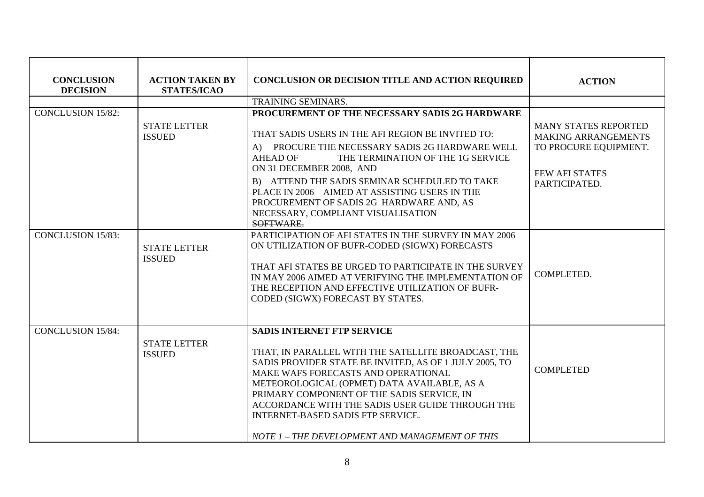| <b>CONCLUSION</b><br><b>DECISION</b> | <b>ACTION TAKEN BY</b><br><b>STATES/ICAO</b> | CONCLUSION OR DECISION TITLE AND ACTION REQUIRED                                                                                                                                                                                                                                                                                                                                                                                   | <b>ACTION</b>                                                                                                                |
|--------------------------------------|----------------------------------------------|------------------------------------------------------------------------------------------------------------------------------------------------------------------------------------------------------------------------------------------------------------------------------------------------------------------------------------------------------------------------------------------------------------------------------------|------------------------------------------------------------------------------------------------------------------------------|
|                                      |                                              | <b>TRAINING SEMINARS.</b>                                                                                                                                                                                                                                                                                                                                                                                                          |                                                                                                                              |
| <b>CONCLUSION 15/82:</b>             | <b>STATE LETTER</b><br><b>ISSUED</b>         | PROCUREMENT OF THE NECESSARY SADIS 2G HARDWARE<br>THAT SADIS USERS IN THE AFI REGION BE INVITED TO:<br>A) PROCURE THE NECESSARY SADIS 2G HARDWARE WELL<br>THE TERMINATION OF THE 1G SERVICE<br><b>AHEAD OF</b><br>ON 31 DECEMBER 2008, AND<br>B) ATTEND THE SADIS SEMINAR SCHEDULED TO TAKE<br>PLACE IN 2006 AIMED AT ASSISTING USERS IN THE<br>PROCUREMENT OF SADIS 2G HARDWARE AND, AS<br>NECESSARY, COMPLIANT VISUALISATION     | <b>MANY STATES REPORTED</b><br><b>MAKING ARRANGEMENTS</b><br>TO PROCURE EQUIPMENT.<br><b>FEW AFI STATES</b><br>PARTICIPATED. |
| <b>CONCLUSION 15/83:</b>             | <b>STATE LETTER</b><br><b>ISSUED</b>         | SOFTWARE.<br>PARTICIPATION OF AFI STATES IN THE SURVEY IN MAY 2006<br>ON UTILIZATION OF BUFR-CODED (SIGWX) FORECASTS<br>THAT AFI STATES BE URGED TO PARTICIPATE IN THE SURVEY<br>IN MAY 2006 AIMED AT VERIFYING THE IMPLEMENTATION OF<br>THE RECEPTION AND EFFECTIVE UTILIZATION OF BUFR-<br>CODED (SIGWX) FORECAST BY STATES.                                                                                                     | COMPLETED.                                                                                                                   |
| <b>CONCLUSION 15/84:</b>             | <b>STATE LETTER</b><br><b>ISSUED</b>         | <b>SADIS INTERNET FTP SERVICE</b><br>THAT, IN PARALLEL WITH THE SATELLITE BROADCAST, THE<br>SADIS PROVIDER STATE BE INVITED, AS OF 1 JULY 2005, TO<br>MAKE WAFS FORECASTS AND OPERATIONAL<br>METEOROLOGICAL (OPMET) DATA AVAILABLE, AS A<br>PRIMARY COMPONENT OF THE SADIS SERVICE, IN<br>ACCORDANCE WITH THE SADIS USER GUIDE THROUGH THE<br>INTERNET-BASED SADIS FTP SERVICE.<br>NOTE 1 - THE DEVELOPMENT AND MANAGEMENT OF THIS | <b>COMPLETED</b>                                                                                                             |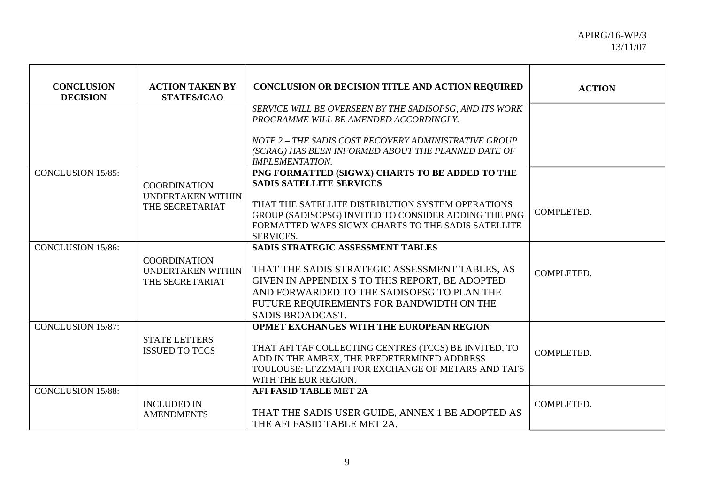| <b>CONCLUSION</b><br><b>DECISION</b> | <b>ACTION TAKEN BY</b><br><b>STATES/ICAO</b>                | <b>CONCLUSION OR DECISION TITLE AND ACTION REQUIRED</b>                                                                                                                                                                                             | <b>ACTION</b> |
|--------------------------------------|-------------------------------------------------------------|-----------------------------------------------------------------------------------------------------------------------------------------------------------------------------------------------------------------------------------------------------|---------------|
|                                      |                                                             | SERVICE WILL BE OVERSEEN BY THE SADISOPSG, AND ITS WORK<br>PROGRAMME WILL BE AMENDED ACCORDINGLY.                                                                                                                                                   |               |
|                                      |                                                             | NOTE 2 - THE SADIS COST RECOVERY ADMINISTRATIVE GROUP<br>(SCRAG) HAS BEEN INFORMED ABOUT THE PLANNED DATE OF<br><b>IMPLEMENTATION.</b>                                                                                                              |               |
| <b>CONCLUSION 15/85:</b>             | <b>COORDINATION</b>                                         | PNG FORMATTED (SIGWX) CHARTS TO BE ADDED TO THE<br><b>SADIS SATELLITE SERVICES</b>                                                                                                                                                                  |               |
|                                      | UNDERTAKEN WITHIN<br>THE SECRETARIAT                        | THAT THE SATELLITE DISTRIBUTION SYSTEM OPERATIONS<br>GROUP (SADISOPSG) INVITED TO CONSIDER ADDING THE PNG<br>FORMATTED WAFS SIGWX CHARTS TO THE SADIS SATELLITE<br><b>SERVICES.</b>                                                                 | COMPLETED.    |
| <b>CONCLUSION 15/86:</b>             | <b>COORDINATION</b><br>UNDERTAKEN WITHIN<br>THE SECRETARIAT | SADIS STRATEGIC ASSESSMENT TABLES<br>THAT THE SADIS STRATEGIC ASSESSMENT TABLES, AS<br>GIVEN IN APPENDIX S TO THIS REPORT, BE ADOPTED<br>AND FORWARDED TO THE SADISOPSG TO PLAN THE<br>FUTURE REQUIREMENTS FOR BANDWIDTH ON THE<br>SADIS BROADCAST. | COMPLETED.    |
| <b>CONCLUSION 15/87:</b>             | <b>STATE LETTERS</b><br><b>ISSUED TO TCCS</b>               | OPMET EXCHANGES WITH THE EUROPEAN REGION<br>THAT AFI TAF COLLECTING CENTRES (TCCS) BE INVITED, TO<br>ADD IN THE AMBEX, THE PREDETERMINED ADDRESS<br>TOULOUSE: LFZZMAFI FOR EXCHANGE OF METARS AND TAFS<br>WITH THE EUR REGION.                      | COMPLETED.    |
| <b>CONCLUSION 15/88:</b>             | <b>INCLUDED IN</b><br><b>AMENDMENTS</b>                     | <b>AFI FASID TABLE MET 2A</b><br>THAT THE SADIS USER GUIDE, ANNEX 1 BE ADOPTED AS<br>THE AFI FASID TABLE MET 2A.                                                                                                                                    | COMPLETED.    |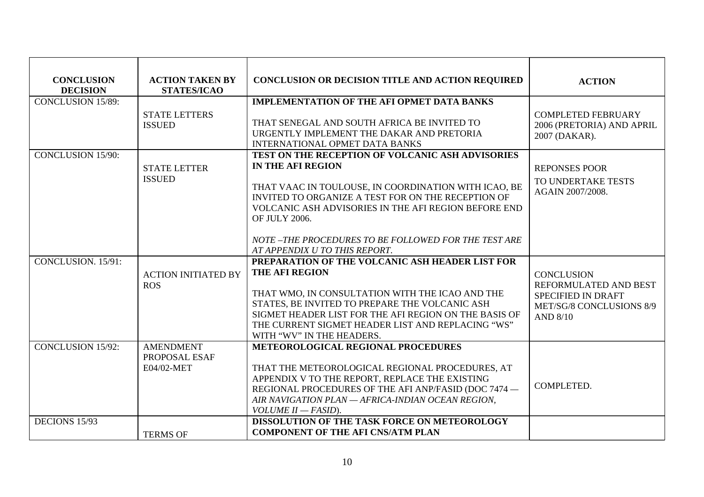| <b>CONCLUSION</b><br><b>DECISION</b> | <b>ACTION TAKEN BY</b><br><b>STATES/ICAO</b>    | <b>CONCLUSION OR DECISION TITLE AND ACTION REQUIRED</b>                                                                                                                                                                                                                                                                                              | <b>ACTION</b>                                                                                                   |
|--------------------------------------|-------------------------------------------------|------------------------------------------------------------------------------------------------------------------------------------------------------------------------------------------------------------------------------------------------------------------------------------------------------------------------------------------------------|-----------------------------------------------------------------------------------------------------------------|
| <b>CONCLUSION 15/89:</b>             | <b>STATE LETTERS</b><br><b>ISSUED</b>           | <b>IMPLEMENTATION OF THE AFI OPMET DATA BANKS</b><br>THAT SENEGAL AND SOUTH AFRICA BE INVITED TO<br>URGENTLY IMPLEMENT THE DAKAR AND PRETORIA<br><b>INTERNATIONAL OPMET DATA BANKS</b>                                                                                                                                                               | <b>COMPLETED FEBRUARY</b><br>2006 (PRETORIA) AND APRIL<br>2007 (DAKAR).                                         |
| <b>CONCLUSION 15/90:</b>             | <b>STATE LETTER</b><br><b>ISSUED</b>            | TEST ON THE RECEPTION OF VOLCANIC ASH ADVISORIES<br>IN THE AFI REGION<br>THAT VAAC IN TOULOUSE, IN COORDINATION WITH ICAO, BE<br>INVITED TO ORGANIZE A TEST FOR ON THE RECEPTION OF<br>VOLCANIC ASH ADVISORIES IN THE AFI REGION BEFORE END<br>OF JULY 2006.<br>NOTE-THE PROCEDURES TO BE FOLLOWED FOR THE TEST ARE<br>AT APPENDIX U TO THIS REPORT. | <b>REPONSES POOR</b><br>TO UNDERTAKE TESTS<br>AGAIN 2007/2008.                                                  |
| CONCLUSION. 15/91:                   | <b>ACTION INITIATED BY</b><br><b>ROS</b>        | PREPARATION OF THE VOLCANIC ASH HEADER LIST FOR<br><b>THE AFI REGION</b><br>THAT WMO, IN CONSULTATION WITH THE ICAO AND THE<br>STATES, BE INVITED TO PREPARE THE VOLCANIC ASH<br>SIGMET HEADER LIST FOR THE AFI REGION ON THE BASIS OF<br>THE CURRENT SIGMET HEADER LIST AND REPLACING "WS"<br>WITH "WV" IN THE HEADERS.                             | <b>CONCLUSION</b><br>REFORMULATED AND BEST<br>SPECIFIED IN DRAFT<br>MET/SG/8 CONCLUSIONS 8/9<br><b>AND 8/10</b> |
| <b>CONCLUSION 15/92:</b>             | <b>AMENDMENT</b><br>PROPOSAL ESAF<br>E04/02-MET | <b>METEOROLOGICAL REGIONAL PROCEDURES</b><br>THAT THE METEOROLOGICAL REGIONAL PROCEDURES, AT<br>APPENDIX V TO THE REPORT, REPLACE THE EXISTING<br>REGIONAL PROCEDURES OF THE AFI ANP/FASID (DOC 7474 -<br>AIR NAVIGATION PLAN - AFRICA-INDIAN OCEAN REGION,<br>VOLUME II - FASID).                                                                   | <b>COMPLETED.</b>                                                                                               |
| DECIONS 15/93                        | <b>TERMS OF</b>                                 | DISSOLUTION OF THE TASK FORCE ON METEOROLOGY<br><b>COMPONENT OF THE AFI CNS/ATM PLAN</b>                                                                                                                                                                                                                                                             |                                                                                                                 |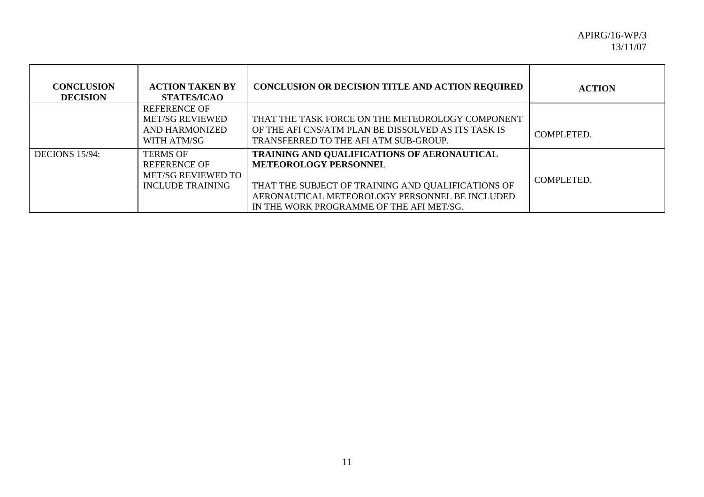| <b>CONCLUSION</b><br><b>DECISION</b> | <b>ACTION TAKEN BY</b><br><b>STATES/ICAO</b>                                                   | <b>CONCLUSION OR DECISION TITLE AND ACTION REQUIRED</b>                                                                                                                                                                         | <b>ACTION</b> |
|--------------------------------------|------------------------------------------------------------------------------------------------|---------------------------------------------------------------------------------------------------------------------------------------------------------------------------------------------------------------------------------|---------------|
|                                      | <b>REFERENCE OF</b><br><b>MET/SG REVIEWED</b><br>AND HARMONIZED<br>WITH ATM/SG                 | THAT THE TASK FORCE ON THE METEOROLOGY COMPONENT<br>OF THE AFI CNS/ATM PLAN BE DISSOLVED AS ITS TASK IS<br>TRANSFERRED TO THE AFI ATM SUB-GROUP.                                                                                | COMPLETED.    |
| DECIONS 15/94:                       | <b>TERMS OF</b><br><b>REFERENCE OF</b><br><b>MET/SG REVIEWED TO</b><br><b>INCLUDE TRAINING</b> | TRAINING AND QUALIFICATIONS OF AERONAUTICAL<br><b>METEOROLOGY PERSONNEL</b><br>THAT THE SUBJECT OF TRAINING AND QUALIFICATIONS OF<br>AERONAUTICAL METEOROLOGY PERSONNEL BE INCLUDED<br>IN THE WORK PROGRAMME OF THE AFI MET/SG. | COMPLETED.    |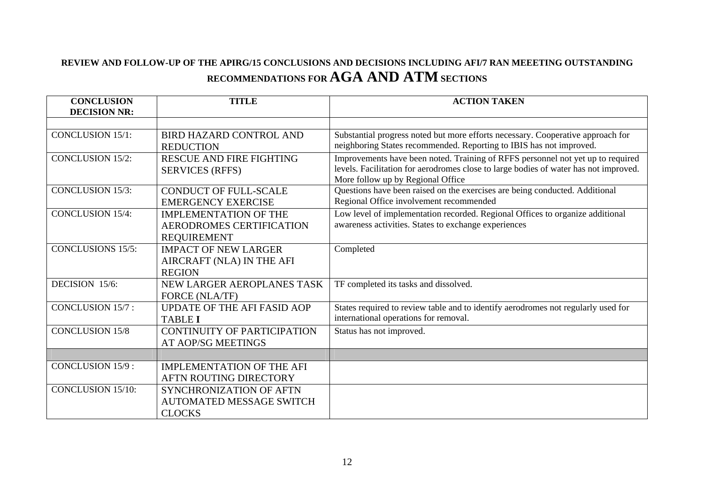# **REVIEW AND FOLLOW-UP OF THE APIRG/15 CONCLUSIONS AND DECISIONS INCLUDING AFI/7 RAN MEEETING OUTSTANDING RECOMMENDATIONS FOR AGA AND ATM SECTIONS**

| <b>CONCLUSION</b><br><b>DECISION NR:</b> | <b>TITLE</b>                                       | <b>ACTION TAKEN</b>                                                                                                                                    |
|------------------------------------------|----------------------------------------------------|--------------------------------------------------------------------------------------------------------------------------------------------------------|
|                                          |                                                    |                                                                                                                                                        |
| <b>CONCLUSION 15/1:</b>                  | <b>BIRD HAZARD CONTROL AND</b><br><b>REDUCTION</b> | Substantial progress noted but more efforts necessary. Cooperative approach for<br>neighboring States recommended. Reporting to IBIS has not improved. |
| <b>CONCLUSION 15/2:</b>                  | RESCUE AND FIRE FIGHTING                           | Improvements have been noted. Training of RFFS personnel not yet up to required                                                                        |
|                                          | <b>SERVICES (RFFS)</b>                             | levels. Facilitation for aerodromes close to large bodies of water has not improved.<br>More follow up by Regional Office                              |
| <b>CONCLUSION 15/3:</b>                  | <b>CONDUCT OF FULL-SCALE</b>                       | Questions have been raised on the exercises are being conducted. Additional                                                                            |
|                                          | <b>EMERGENCY EXERCISE</b>                          | Regional Office involvement recommended                                                                                                                |
| <b>CONCLUSION 15/4:</b>                  | <b>IMPLEMENTATION OF THE</b>                       | Low level of implementation recorded. Regional Offices to organize additional                                                                          |
|                                          | AERODROMES CERTIFICATION                           | awareness activities. States to exchange experiences                                                                                                   |
|                                          | <b>REQUIREMENT</b>                                 |                                                                                                                                                        |
| <b>CONCLUSIONS 15/5:</b>                 | <b>IMPACT OF NEW LARGER</b>                        | Completed                                                                                                                                              |
|                                          | AIRCRAFT (NLA) IN THE AFI                          |                                                                                                                                                        |
|                                          | <b>REGION</b>                                      |                                                                                                                                                        |
| DECISION 15/6:                           | NEW LARGER AEROPLANES TASK                         | TF completed its tasks and dissolved.                                                                                                                  |
|                                          | FORCE (NLA/TF)                                     |                                                                                                                                                        |
| <b>CONCLUSION 15/7:</b>                  | UPDATE OF THE AFI FASID AOP                        | States required to review table and to identify aerodromes not regularly used for                                                                      |
|                                          | <b>TABLE I</b>                                     | international operations for removal.                                                                                                                  |
| <b>CONCLUSION 15/8</b>                   | <b>CONTINUITY OF PARTICIPATION</b>                 | Status has not improved.                                                                                                                               |
|                                          | AT AOP/SG MEETINGS                                 |                                                                                                                                                        |
|                                          |                                                    |                                                                                                                                                        |
| <b>CONCLUSION 15/9:</b>                  | <b>IMPLEMENTATION OF THE AFI</b>                   |                                                                                                                                                        |
|                                          | AFTN ROUTING DIRECTORY                             |                                                                                                                                                        |
| <b>CONCLUSION 15/10:</b>                 | <b>SYNCHRONIZATION OF AFTN</b>                     |                                                                                                                                                        |
|                                          | <b>AUTOMATED MESSAGE SWITCH</b>                    |                                                                                                                                                        |
|                                          | <b>CLOCKS</b>                                      |                                                                                                                                                        |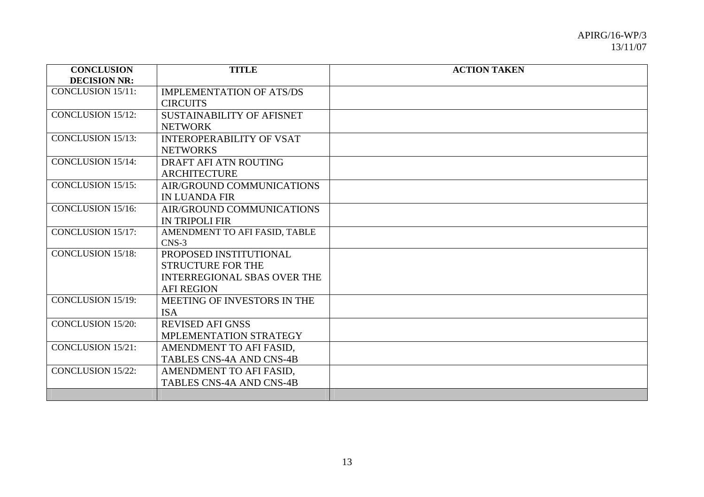| <b>CONCLUSION</b>        | <b>TITLE</b>                       | <b>ACTION TAKEN</b> |
|--------------------------|------------------------------------|---------------------|
| <b>DECISION NR:</b>      |                                    |                     |
| <b>CONCLUSION 15/11:</b> | <b>IMPLEMENTATION OF ATS/DS</b>    |                     |
|                          | <b>CIRCUITS</b>                    |                     |
| <b>CONCLUSION 15/12:</b> | <b>SUSTAINABILITY OF AFISNET</b>   |                     |
|                          | <b>NETWORK</b>                     |                     |
| <b>CONCLUSION 15/13:</b> | <b>INTEROPERABILITY OF VSAT</b>    |                     |
|                          | <b>NETWORKS</b>                    |                     |
| <b>CONCLUSION 15/14:</b> | DRAFT AFI ATN ROUTING              |                     |
|                          | <b>ARCHITECTURE</b>                |                     |
| <b>CONCLUSION 15/15:</b> | AIR/GROUND COMMUNICATIONS          |                     |
|                          | <b>IN LUANDA FIR</b>               |                     |
| <b>CONCLUSION 15/16:</b> | AIR/GROUND COMMUNICATIONS          |                     |
|                          | <b>IN TRIPOLI FIR</b>              |                     |
| <b>CONCLUSION 15/17:</b> | AMENDMENT TO AFI FASID, TABLE      |                     |
|                          | $CNS-3$                            |                     |
| <b>CONCLUSION 15/18:</b> | PROPOSED INSTITUTIONAL             |                     |
|                          | <b>STRUCTURE FOR THE</b>           |                     |
|                          | <b>INTERREGIONAL SBAS OVER THE</b> |                     |
|                          | <b>AFI REGION</b>                  |                     |
| <b>CONCLUSION 15/19:</b> | MEETING OF INVESTORS IN THE        |                     |
|                          | <b>ISA</b>                         |                     |
| <b>CONCLUSION 15/20:</b> | <b>REVISED AFI GNSS</b>            |                     |
|                          | MPLEMENTATION STRATEGY             |                     |
| <b>CONCLUSION 15/21:</b> | AMENDMENT TO AFI FASID,            |                     |
|                          | <b>TABLES CNS-4A AND CNS-4B</b>    |                     |
| <b>CONCLUSION 15/22:</b> | AMENDMENT TO AFI FASID,            |                     |
|                          | <b>TABLES CNS-4A AND CNS-4B</b>    |                     |
|                          |                                    |                     |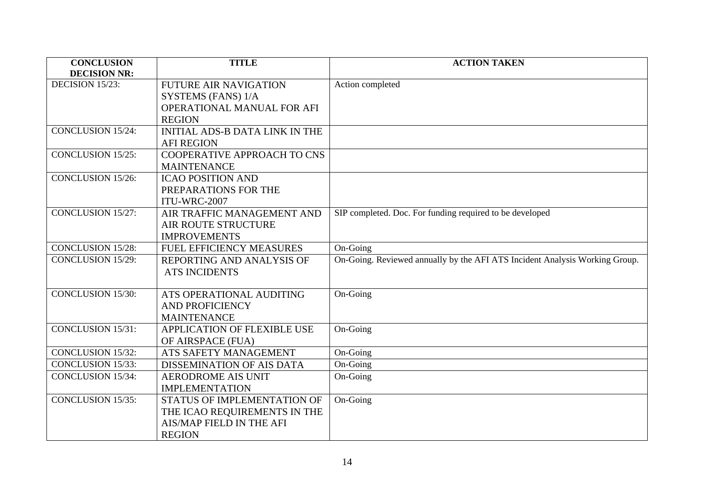| <b>CONCLUSION</b>        | <b>TITLE</b>                          | <b>ACTION TAKEN</b>                                                         |
|--------------------------|---------------------------------------|-----------------------------------------------------------------------------|
| <b>DECISION NR:</b>      |                                       |                                                                             |
| DECISION 15/23:          | <b>FUTURE AIR NAVIGATION</b>          | Action completed                                                            |
|                          | SYSTEMS (FANS) 1/A                    |                                                                             |
|                          | OPERATIONAL MANUAL FOR AFI            |                                                                             |
|                          | <b>REGION</b>                         |                                                                             |
| <b>CONCLUSION 15/24:</b> | <b>INITIAL ADS-B DATA LINK IN THE</b> |                                                                             |
|                          | <b>AFI REGION</b>                     |                                                                             |
| <b>CONCLUSION 15/25:</b> | COOPERATIVE APPROACH TO CNS           |                                                                             |
|                          | <b>MAINTENANCE</b>                    |                                                                             |
| <b>CONCLUSION 15/26:</b> | <b>ICAO POSITION AND</b>              |                                                                             |
|                          | PREPARATIONS FOR THE                  |                                                                             |
|                          | ITU-WRC-2007                          |                                                                             |
| <b>CONCLUSION 15/27:</b> | AIR TRAFFIC MANAGEMENT AND            | SIP completed. Doc. For funding required to be developed                    |
|                          | <b>AIR ROUTE STRUCTURE</b>            |                                                                             |
|                          | <b>IMPROVEMENTS</b>                   |                                                                             |
| <b>CONCLUSION 15/28:</b> | FUEL EFFICIENCY MEASURES              | On-Going                                                                    |
| <b>CONCLUSION 15/29:</b> | REPORTING AND ANALYSIS OF             | On-Going. Reviewed annually by the AFI ATS Incident Analysis Working Group. |
|                          | <b>ATS INCIDENTS</b>                  |                                                                             |
|                          |                                       |                                                                             |
| <b>CONCLUSION 15/30:</b> | ATS OPERATIONAL AUDITING              | On-Going                                                                    |
|                          | <b>AND PROFICIENCY</b>                |                                                                             |
|                          | <b>MAINTENANCE</b>                    |                                                                             |
| <b>CONCLUSION 15/31:</b> | APPLICATION OF FLEXIBLE USE           | On-Going                                                                    |
|                          | OF AIRSPACE (FUA)                     |                                                                             |
| <b>CONCLUSION 15/32:</b> | ATS SAFETY MANAGEMENT                 | On-Going                                                                    |
| <b>CONCLUSION 15/33:</b> | DISSEMINATION OF AIS DATA             | On-Going                                                                    |
| <b>CONCLUSION 15/34:</b> | <b>AERODROME AIS UNIT</b>             | On-Going                                                                    |
|                          | <b>IMPLEMENTATION</b>                 |                                                                             |
| <b>CONCLUSION 15/35:</b> | STATUS OF IMPLEMENTATION OF           | On-Going                                                                    |
|                          | THE ICAO REQUIREMENTS IN THE          |                                                                             |
|                          | AIS/MAP FIELD IN THE AFI              |                                                                             |
|                          | <b>REGION</b>                         |                                                                             |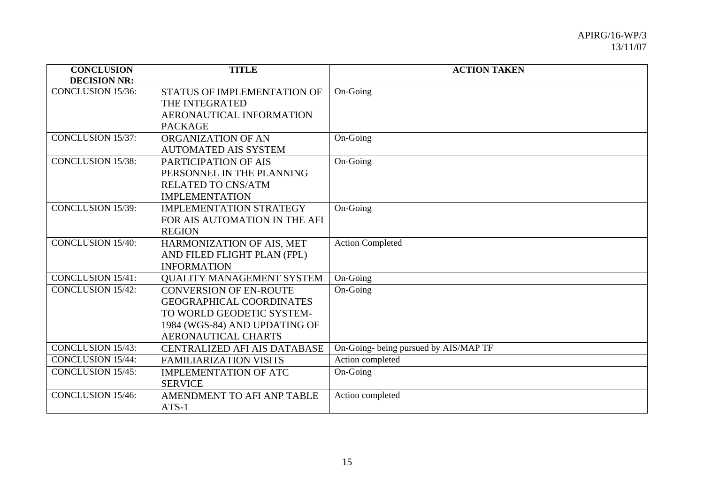| <b>CONCLUSION</b>        | <b>TITLE</b>                        | <b>ACTION TAKEN</b>                   |
|--------------------------|-------------------------------------|---------------------------------------|
| <b>DECISION NR:</b>      |                                     |                                       |
| <b>CONCLUSION 15/36:</b> | STATUS OF IMPLEMENTATION OF         | On-Going                              |
|                          | THE INTEGRATED                      |                                       |
|                          | AERONAUTICAL INFORMATION            |                                       |
|                          | <b>PACKAGE</b>                      |                                       |
| <b>CONCLUSION 15/37:</b> | ORGANIZATION OF AN                  | On-Going                              |
|                          | <b>AUTOMATED AIS SYSTEM</b>         |                                       |
| <b>CONCLUSION 15/38:</b> | PARTICIPATION OF AIS                | On-Going                              |
|                          | PERSONNEL IN THE PLANNING           |                                       |
|                          | <b>RELATED TO CNS/ATM</b>           |                                       |
|                          | <b>IMPLEMENTATION</b>               |                                       |
| <b>CONCLUSION 15/39:</b> | <b>IMPLEMENTATION STRATEGY</b>      | On-Going                              |
|                          | FOR AIS AUTOMATION IN THE AFI       |                                       |
|                          | <b>REGION</b>                       |                                       |
| <b>CONCLUSION 15/40:</b> | HARMONIZATION OF AIS, MET           | <b>Action Completed</b>               |
|                          | AND FILED FLIGHT PLAN (FPL)         |                                       |
|                          | <b>INFORMATION</b>                  |                                       |
| <b>CONCLUSION 15/41:</b> | <b>QUALITY MANAGEMENT SYSTEM</b>    | On-Going                              |
| <b>CONCLUSION 15/42:</b> | <b>CONVERSION OF EN-ROUTE</b>       | On-Going                              |
|                          | <b>GEOGRAPHICAL COORDINATES</b>     |                                       |
|                          | TO WORLD GEODETIC SYSTEM-           |                                       |
|                          | 1984 (WGS-84) AND UPDATING OF       |                                       |
|                          | <b>AERONAUTICAL CHARTS</b>          |                                       |
| <b>CONCLUSION 15/43:</b> | <b>CENTRALIZED AFI AIS DATABASE</b> | On-Going- being pursued by AIS/MAP TF |
| <b>CONCLUSION 15/44:</b> | <b>FAMILIARIZATION VISITS</b>       | Action completed                      |
| <b>CONCLUSION 15/45:</b> | <b>IMPLEMENTATION OF ATC</b>        | On-Going                              |
|                          | <b>SERVICE</b>                      |                                       |
| <b>CONCLUSION 15/46:</b> | AMENDMENT TO AFI ANP TABLE          | Action completed                      |
|                          | $ATS-1$                             |                                       |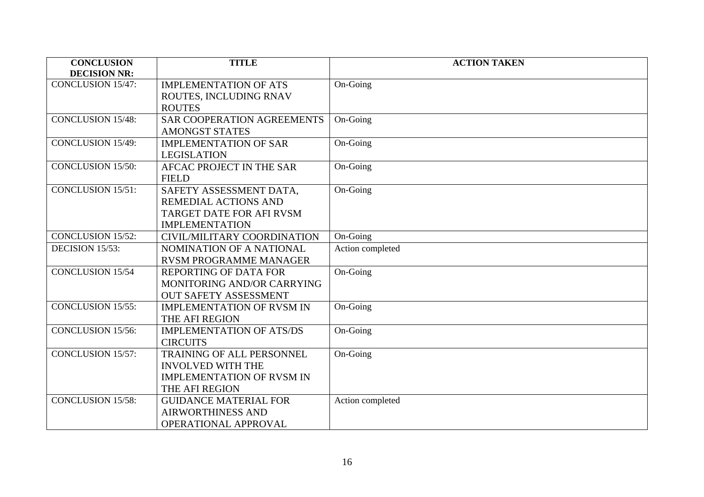| <b>CONCLUSION</b>        | <b>TITLE</b>                      | <b>ACTION TAKEN</b> |
|--------------------------|-----------------------------------|---------------------|
| <b>DECISION NR:</b>      |                                   |                     |
| <b>CONCLUSION 15/47:</b> | <b>IMPLEMENTATION OF ATS</b>      | On-Going            |
|                          | ROUTES, INCLUDING RNAV            |                     |
|                          | <b>ROUTES</b>                     |                     |
| <b>CONCLUSION 15/48:</b> | <b>SAR COOPERATION AGREEMENTS</b> | On-Going            |
|                          | <b>AMONGST STATES</b>             |                     |
| <b>CONCLUSION 15/49:</b> | <b>IMPLEMENTATION OF SAR</b>      | On-Going            |
|                          | <b>LEGISLATION</b>                |                     |
| <b>CONCLUSION 15/50:</b> | AFCAC PROJECT IN THE SAR          | On-Going            |
|                          | <b>FIELD</b>                      |                     |
| <b>CONCLUSION 15/51:</b> | SAFETY ASSESSMENT DATA,           | On-Going            |
|                          | <b>REMEDIAL ACTIONS AND</b>       |                     |
|                          | TARGET DATE FOR AFI RVSM          |                     |
|                          | <b>IMPLEMENTATION</b>             |                     |
| <b>CONCLUSION 15/52:</b> | CIVIL/MILITARY COORDINATION       | On-Going            |
| DECISION 15/53:          | NOMINATION OF A NATIONAL          | Action completed    |
|                          | <b>RVSM PROGRAMME MANAGER</b>     |                     |
| <b>CONCLUSION 15/54</b>  | REPORTING OF DATA FOR             | On-Going            |
|                          | MONITORING AND/OR CARRYING        |                     |
|                          | <b>OUT SAFETY ASSESSMENT</b>      |                     |
| <b>CONCLUSION 15/55:</b> | <b>IMPLEMENTATION OF RVSM IN</b>  | On-Going            |
|                          | THE AFI REGION                    |                     |
| <b>CONCLUSION 15/56:</b> | <b>IMPLEMENTATION OF ATS/DS</b>   | On-Going            |
|                          | <b>CIRCUITS</b>                   |                     |
| <b>CONCLUSION 15/57:</b> | <b>TRAINING OF ALL PERSONNEL</b>  | On-Going            |
|                          | <b>INVOLVED WITH THE</b>          |                     |
|                          | <b>IMPLEMENTATION OF RVSM IN</b>  |                     |
|                          | THE AFI REGION                    |                     |
| <b>CONCLUSION 15/58:</b> | <b>GUIDANCE MATERIAL FOR</b>      | Action completed    |
|                          | <b>AIRWORTHINESS AND</b>          |                     |
|                          | OPERATIONAL APPROVAL              |                     |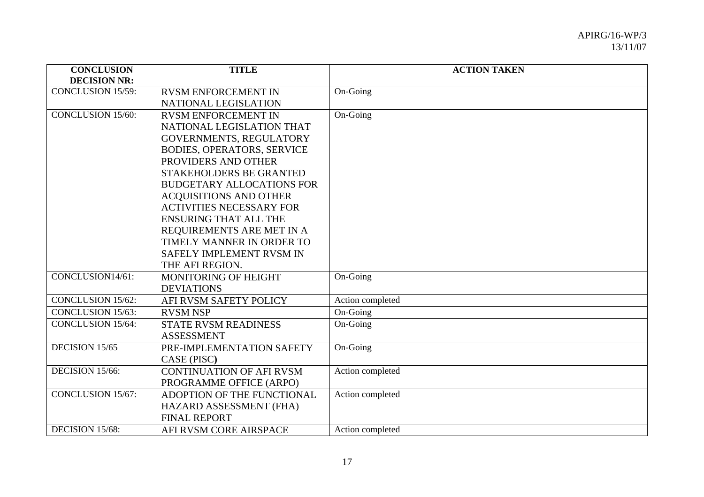| <b>CONCLUSION</b>        | TITLE                             | <b>ACTION TAKEN</b> |
|--------------------------|-----------------------------------|---------------------|
| <b>DECISION NR:</b>      |                                   |                     |
| <b>CONCLUSION 15/59:</b> | <b>RVSM ENFORCEMENT IN</b>        | On-Going            |
|                          | NATIONAL LEGISLATION              |                     |
| <b>CONCLUSION 15/60:</b> | <b>RVSM ENFORCEMENT IN</b>        | On-Going            |
|                          | NATIONAL LEGISLATION THAT         |                     |
|                          | GOVERNMENTS, REGULATORY           |                     |
|                          | <b>BODIES, OPERATORS, SERVICE</b> |                     |
|                          | PROVIDERS AND OTHER               |                     |
|                          | STAKEHOLDERS BE GRANTED           |                     |
|                          | <b>BUDGETARY ALLOCATIONS FOR</b>  |                     |
|                          | <b>ACQUISITIONS AND OTHER</b>     |                     |
|                          | <b>ACTIVITIES NECESSARY FOR</b>   |                     |
|                          | <b>ENSURING THAT ALL THE</b>      |                     |
|                          | REQUIREMENTS ARE MET IN A         |                     |
|                          | TIMELY MANNER IN ORDER TO         |                     |
|                          | SAFELY IMPLEMENT RVSM IN          |                     |
|                          | THE AFI REGION.                   |                     |
| CONCLUSION14/61:         | <b>MONITORING OF HEIGHT</b>       | On-Going            |
|                          | <b>DEVIATIONS</b>                 |                     |
| <b>CONCLUSION 15/62:</b> | AFI RVSM SAFETY POLICY            | Action completed    |
| <b>CONCLUSION 15/63:</b> | <b>RVSM NSP</b>                   | On-Going            |
| <b>CONCLUSION 15/64:</b> | <b>STATE RVSM READINESS</b>       | On-Going            |
|                          | <b>ASSESSMENT</b>                 |                     |
| DECISION 15/65           | PRE-IMPLEMENTATION SAFETY         | On-Going            |
|                          | CASE (PISC)                       |                     |
| DECISION 15/66:          | <b>CONTINUATION OF AFI RVSM</b>   | Action completed    |
|                          | PROGRAMME OFFICE (ARPO)           |                     |
| <b>CONCLUSION 15/67:</b> | ADOPTION OF THE FUNCTIONAL        | Action completed    |
|                          | HAZARD ASSESSMENT (FHA)           |                     |
|                          | <b>FINAL REPORT</b>               |                     |
| DECISION 15/68:          | AFI RVSM CORE AIRSPACE            | Action completed    |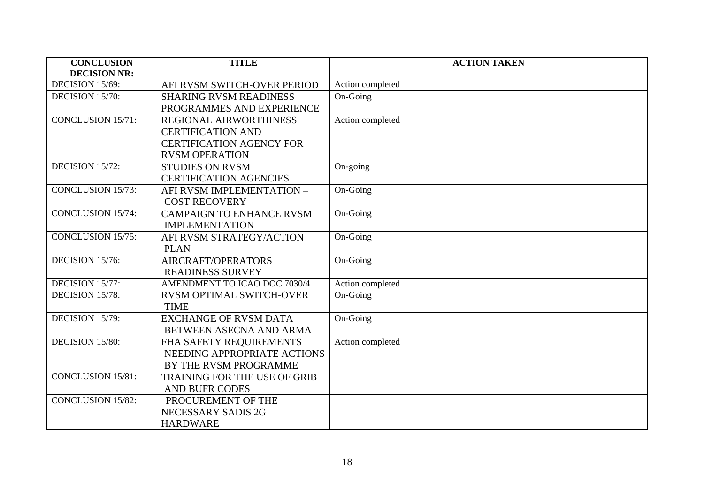| <b>CONCLUSION</b>        | <b>TITLE</b>                        | <b>ACTION TAKEN</b> |
|--------------------------|-------------------------------------|---------------------|
| <b>DECISION NR:</b>      |                                     |                     |
| DECISION 15/69:          | AFI RVSM SWITCH-OVER PERIOD         | Action completed    |
| DECISION 15/70:          | <b>SHARING RVSM READINESS</b>       | On-Going            |
|                          | PROGRAMMES AND EXPERIENCE           |                     |
| <b>CONCLUSION 15/71:</b> | <b>REGIONAL AIRWORTHINESS</b>       | Action completed    |
|                          | <b>CERTIFICATION AND</b>            |                     |
|                          | <b>CERTIFICATION AGENCY FOR</b>     |                     |
|                          | <b>RVSM OPERATION</b>               |                     |
| DECISION 15/72:          | <b>STUDIES ON RVSM</b>              | On-going            |
|                          | <b>CERTIFICATION AGENCIES</b>       |                     |
| <b>CONCLUSION 15/73:</b> | AFI RVSM IMPLEMENTATION -           | On-Going            |
|                          | <b>COST RECOVERY</b>                |                     |
| <b>CONCLUSION 15/74:</b> | <b>CAMPAIGN TO ENHANCE RVSM</b>     | On-Going            |
|                          | <b>IMPLEMENTATION</b>               |                     |
| <b>CONCLUSION 15/75:</b> | AFI RVSM STRATEGY/ACTION            | On-Going            |
|                          | <b>PLAN</b>                         |                     |
| DECISION 15/76:          | AIRCRAFT/OPERATORS                  | On-Going            |
|                          | <b>READINESS SURVEY</b>             |                     |
| DECISION 15/77:          | AMENDMENT TO ICAO DOC 7030/4        | Action completed    |
| DECISION 15/78:          | <b>RVSM OPTIMAL SWITCH-OVER</b>     | On-Going            |
|                          | <b>TIME</b>                         |                     |
| DECISION 15/79:          | <b>EXCHANGE OF RVSM DATA</b>        | On-Going            |
|                          | BETWEEN ASECNA AND ARMA             |                     |
| DECISION 15/80:          | FHA SAFETY REQUIREMENTS             | Action completed    |
|                          | NEEDING APPROPRIATE ACTIONS         |                     |
|                          | BY THE RVSM PROGRAMME               |                     |
| <b>CONCLUSION 15/81:</b> | <b>TRAINING FOR THE USE OF GRIB</b> |                     |
|                          | <b>AND BUFR CODES</b>               |                     |
| <b>CONCLUSION 15/82:</b> | PROCUREMENT OF THE                  |                     |
|                          | NECESSARY SADIS 2G                  |                     |
|                          | <b>HARDWARE</b>                     |                     |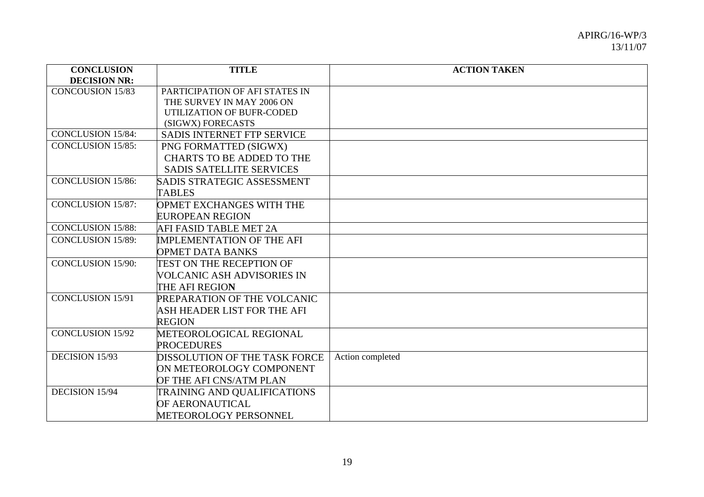| <b>CONCLUSION</b>        | <b>TITLE</b>                     | <b>ACTION TAKEN</b> |
|--------------------------|----------------------------------|---------------------|
| <b>DECISION NR:</b>      |                                  |                     |
| <b>CONCOUSION 15/83</b>  | PARTICIPATION OF AFI STATES IN   |                     |
|                          | THE SURVEY IN MAY 2006 ON        |                     |
|                          | UTILIZATION OF BUFR-CODED        |                     |
|                          | (SIGWX) FORECASTS                |                     |
| <b>CONCLUSION 15/84:</b> | SADIS INTERNET FTP SERVICE       |                     |
| <b>CONCLUSION 15/85:</b> | PNG FORMATTED (SIGWX)            |                     |
|                          | <b>CHARTS TO BE ADDED TO THE</b> |                     |
|                          | <b>SADIS SATELLITE SERVICES</b>  |                     |
| <b>CONCLUSION 15/86:</b> | SADIS STRATEGIC ASSESSMENT       |                     |
|                          | <b>TABLES</b>                    |                     |
| <b>CONCLUSION 15/87:</b> | OPMET EXCHANGES WITH THE         |                     |
|                          | <b>EUROPEAN REGION</b>           |                     |
| <b>CONCLUSION 15/88:</b> | AFI FASID TABLE MET 2A           |                     |
| <b>CONCLUSION 15/89:</b> | <b>IMPLEMENTATION OF THE AFI</b> |                     |
|                          | <b>OPMET DATA BANKS</b>          |                     |
| <b>CONCLUSION 15/90:</b> | TEST ON THE RECEPTION OF         |                     |
|                          | VOLCANIC ASH ADVISORIES IN       |                     |
|                          | THE AFI REGION                   |                     |
| <b>CONCLUSION 15/91</b>  | PREPARATION OF THE VOLCANIC      |                     |
|                          | ASH HEADER LIST FOR THE AFI      |                     |
|                          | <b>REGION</b>                    |                     |
| <b>CONCLUSION 15/92</b>  | METEOROLOGICAL REGIONAL          |                     |
|                          | <b>PROCEDURES</b>                |                     |
| DECISION 15/93           | DISSOLUTION OF THE TASK FORCE    | Action completed    |
|                          | ON METEOROLOGY COMPONENT         |                     |
|                          | OF THE AFI CNS/ATM PLAN          |                     |
| DECISION 15/94           | TRAINING AND QUALIFICATIONS      |                     |
|                          | OF AERONAUTICAL                  |                     |
|                          | <b>METEOROLOGY PERSONNEL</b>     |                     |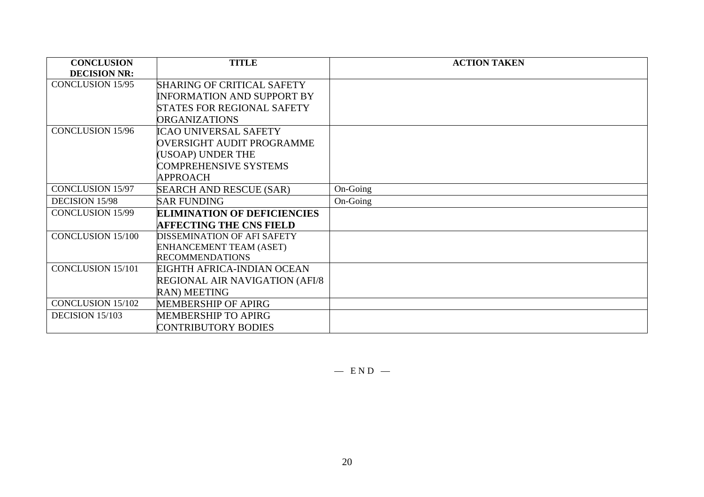| <b>CONCLUSION</b>        | <b>TITLE</b>                       | <b>ACTION TAKEN</b> |
|--------------------------|------------------------------------|---------------------|
| <b>DECISION NR:</b>      |                                    |                     |
| <b>CONCLUSION 15/95</b>  | <b>SHARING OF CRITICAL SAFETY</b>  |                     |
|                          | <b>INFORMATION AND SUPPORT BY</b>  |                     |
|                          | <b>STATES FOR REGIONAL SAFETY</b>  |                     |
|                          | <b>ORGANIZATIONS</b>               |                     |
| <b>CONCLUSION 15/96</b>  | ICAO UNIVERSAL SAFETY              |                     |
|                          | OVERSIGHT AUDIT PROGRAMME          |                     |
|                          | (USOAP) UNDER THE                  |                     |
|                          | <b>COMPREHENSIVE SYSTEMS</b>       |                     |
|                          | <b>APPROACH</b>                    |                     |
| <b>CONCLUSION 15/97</b>  | <b>SEARCH AND RESCUE (SAR)</b>     | On-Going            |
| <b>DECISION 15/98</b>    | <b>SAR FUNDING</b>                 | On-Going            |
| <b>CONCLUSION 15/99</b>  | <b>ELIMINATION OF DEFICIENCIES</b> |                     |
|                          | <b>AFFECTING THE CNS FIELD</b>     |                     |
| <b>CONCLUSION 15/100</b> | <b>DISSEMINATION OF AFI SAFETY</b> |                     |
|                          | <b>ENHANCEMENT TEAM (ASET)</b>     |                     |
|                          | <b>RECOMMENDATIONS</b>             |                     |
| <b>CONCLUSION 15/101</b> | EIGHTH AFRICA-INDIAN OCEAN         |                     |
|                          | REGIONAL AIR NAVIGATION (AFI/8     |                     |
|                          | <b>RAN) MEETING</b>                |                     |
| <b>CONCLUSION 15/102</b> | <b>MEMBERSHIP OF APIRG</b>         |                     |
| DECISION 15/103          | <b>MEMBERSHIP TO APIRG</b>         |                     |
|                          | <b>CONTRIBUTORY BODIES</b>         |                     |

 $-$  END  $-$